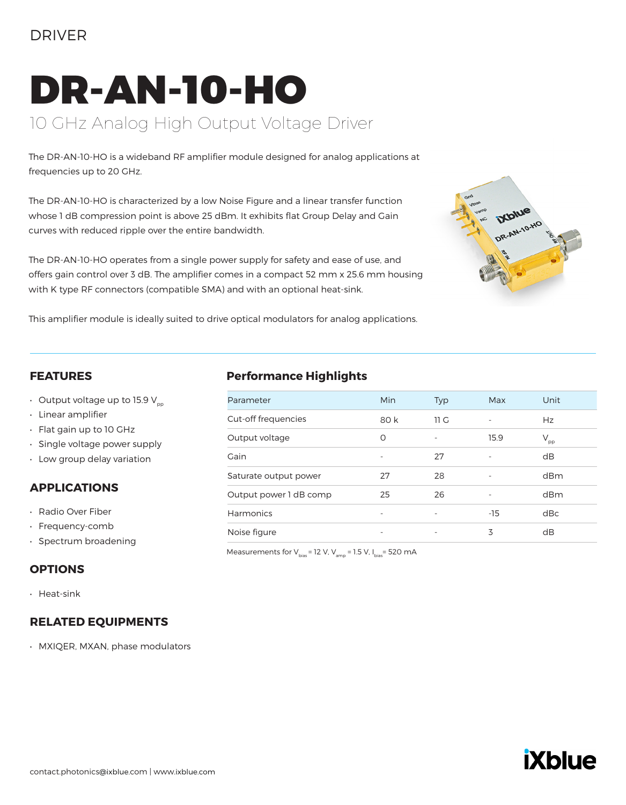### DRIVER

# DR-AN-10-HO 10 GHz Analog High Output Voltage Driver

The DR-AN-10-HO is a wideband RF amplifier module designed for analog applications at frequencies up to 20 GHz.

The DR-AN-10-HO is characterized by a low Noise Figure and a linear transfer function whose 1 dB compression point is above 25 dBm. It exhibits flat Group Delay and Gain curves with reduced ripple over the entire bandwidth.

The DR-AN-10-HO operates from a single power supply for safety and ease of use, and offers gain control over 3 dB. The amplifier comes in a compact 52 mm x 25.6 mm housing with K type RF connectors (compatible SMA) and with an optional heat-sink.



This amplifier module is ideally suited to drive optical modulators for analog applications.

#### **FEATURES**

- Output voltage up to 15.9  $V_{\text{p}p}$
- Linear amplifier
- Flat gain up to 10 GHz
- Single voltage power supply
- Low group delay variation

#### **APPLICATIONS**

- Radio Over Fiber
- Frequency-comb
- Spectrum broadening

#### **OPTIONS**

• Heat-sink

#### **RELATED EQUIPMENTS**

• MXIQER, MXAN, phase modulators

#### **Performance Highlights**

| Parameter              | Min                      | Typ                      | Max                      | Unit         |
|------------------------|--------------------------|--------------------------|--------------------------|--------------|
| Cut-off frequencies    | 80 k                     | 11 <sub>G</sub>          |                          | Hz           |
| Output voltage         | O                        |                          | 15.9                     | $V_{\rm pp}$ |
| Gain                   | ٠                        | 27                       | $\overline{\phantom{0}}$ | dB           |
| Saturate output power  | 27                       | 28                       | ٠                        | dBm          |
| Output power 1 dB comp | 25                       | 26                       |                          | dBm          |
| Harmonics              |                          |                          | $-15$                    | dBc          |
| Noise figure           | $\overline{\phantom{0}}$ | $\overline{\phantom{a}}$ | 3                        | dB           |

Measurements for  $V_{bias}$ = 12 V,  $V_{amp}$  = 1.5 V,  $I_{bias}$ = 520 mA

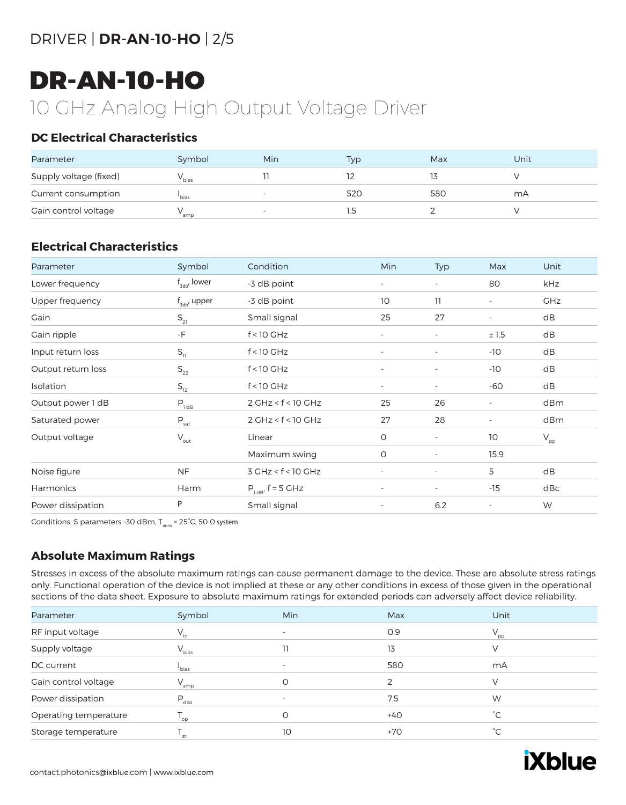## DRIVER | **DR-AN-10-HO** | 2/5

## DR-AN-10-HO

## 10 GHz Analog High Output Voltage Driver

#### **DC Electrical Characteristics**

| Parameter              | Symbol            | Min                          | Typ | Max | Unit |
|------------------------|-------------------|------------------------------|-----|-----|------|
| Supply voltage (fixed) | <sup>v</sup> bias |                              |     |     |      |
| Current consumption    | bias <sup>'</sup> | $\overline{\phantom{a}}$     | 520 | 580 | mA   |
| Gain control voltage   | amp               | $\qquad \qquad \blacksquare$ |     |     |      |

#### **Electrical Characteristics**

| Parameter          | Symbol                      | Condition              | Min                      | Typ                      | Max                      | Unit         |
|--------------------|-----------------------------|------------------------|--------------------------|--------------------------|--------------------------|--------------|
| Lower frequency    | $f_{\text{sub}}$ , lower    | -3 dB point            | $\overline{\phantom{a}}$ | $\overline{\phantom{a}}$ | 80                       | kHz          |
| Upper frequency    | $f_{\text{3db}}$ , upper    | -3 dB point            | 10                       | 11                       | $\overline{\phantom{a}}$ | <b>GHz</b>   |
| Gain               | $S_{21}$                    | Small signal           | 25                       | 27                       | $\overline{\phantom{a}}$ | dB           |
| Gain ripple        | $-F$                        | $f < 10$ GHz           | $\overline{\phantom{a}}$ | $\overline{\phantom{a}}$ | ±1.5                     | dB           |
| Input return loss  | $S_{11}$                    | $f < 10$ GHz           | $\overline{\phantom{a}}$ | $\overline{\phantom{a}}$ | $-10$                    | dB           |
| Output return loss | $\mathsf{S}_{\mathsf{22}}$  | $f < 10$ GHz           | $\overline{\phantom{a}}$ | $\overline{\phantom{a}}$ | $-10$                    | dB           |
| Isolation          | $S_{12}$                    | $f < 10$ GHz           | $\overline{\phantom{a}}$ | $\overline{\phantom{a}}$ | -60                      | dB           |
| Output power 1 dB  | $P_{1dB}$                   | $2$ GHz < $f$ < 10 GHz | 25                       | 26                       | $\overline{\phantom{a}}$ | dBm          |
| Saturated power    | $P_{\text{sat}}$            | $2$ GHz < $f$ < 10 GHz | 27                       | 28                       | $\overline{\phantom{a}}$ | dBm          |
| Output voltage     | $\mathsf{V}_{\mathsf{out}}$ | Linear                 | $\circ$                  | $\overline{\phantom{a}}$ | 10                       | $V_{\rm pp}$ |
|                    |                             | Maximum swing          | O                        | $\overline{\phantom{a}}$ | 15.9                     |              |
| Noise figure       | <b>NF</b>                   | $3$ GHz < $f$ < 10 GHz | $\overline{\phantom{a}}$ | $\overline{\phantom{a}}$ | 5                        | dB           |
| Harmonics          | Harm                        | $P_{1dB'}$ , f = 5 GHz | $\overline{\phantom{a}}$ | $\overline{\phantom{a}}$ | $-15$                    | dBc          |
| Power dissipation  | P                           | Small signal           | $\overline{\phantom{a}}$ | 6.2                      | $\overline{\phantom{a}}$ | W            |

Conditions: S parameters -30 dBm,  $T_{amb}$  = 25°C, 50  $\Omega$  system

#### **Absolute Maximum Ratings**

Stresses in excess of the absolute maximum ratings can cause permanent damage to the device. These are absolute stress ratings only. Functional operation of the device is not implied at these or any other conditions in excess of those given in the operational sections of the data sheet. Exposure to absolute maximum ratings for extended periods can adversely affect device reliability.

| Parameter             | Symbol                     | <b>Min</b>               | Max   | Unit            |
|-----------------------|----------------------------|--------------------------|-------|-----------------|
| RF input voltage      | $V_{in}$                   |                          | 0.9   | $V_{\text{pp}}$ |
| Supply voltage        | $V_{bias}$                 |                          | 13    |                 |
| DC current            | bias                       | $\overline{\phantom{a}}$ | 580   | mA              |
| Gain control voltage  | $V_{amp}$                  | $\circ$                  |       | V               |
| Power dissipation     | $P_{\rm diss}$             | $\overline{\phantom{a}}$ | 7.5   | W               |
| Operating temperature | $\mathsf{L}_{\mathsf{op}}$ | Ο                        | $+40$ | $^{\circ}$ C    |
| Storage temperature   | st                         | 10                       | $+70$ | °С              |

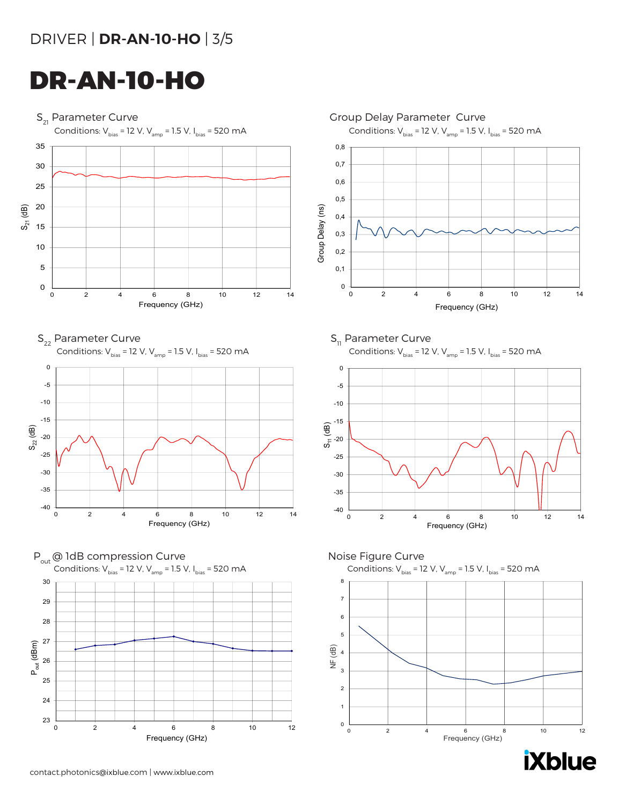### DRIVER | **DR-AN-10-HO** | 3/5

## DR-AN-10-HO

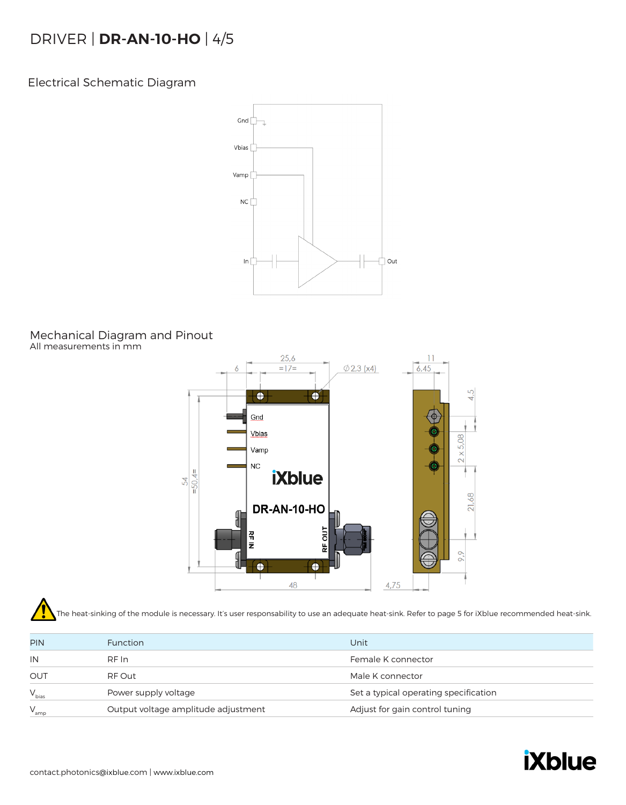### DRIVER | **DR-AN-10-HO** | 4/5

Electrical Schematic Diagram



#### Mechanical Diagram and Pinout All measurements in mm



The heat-sinking of the module is necessary. It's user responsability to use an adequate heat-sink. Refer to page 5 for iXblue recommended heat-sink.

| <b>PIN</b> | <b>Function</b>                     | Unit                                  |
|------------|-------------------------------------|---------------------------------------|
| IN         | RF In                               | Female K connector                    |
| OUT        | RF Out                              | Male K connector                      |
| $V_{bias}$ | Power supply voltage                | Set a typical operating specification |
| $V_{amp}$  | Output voltage amplitude adjustment | Adjust for gain control tuning        |